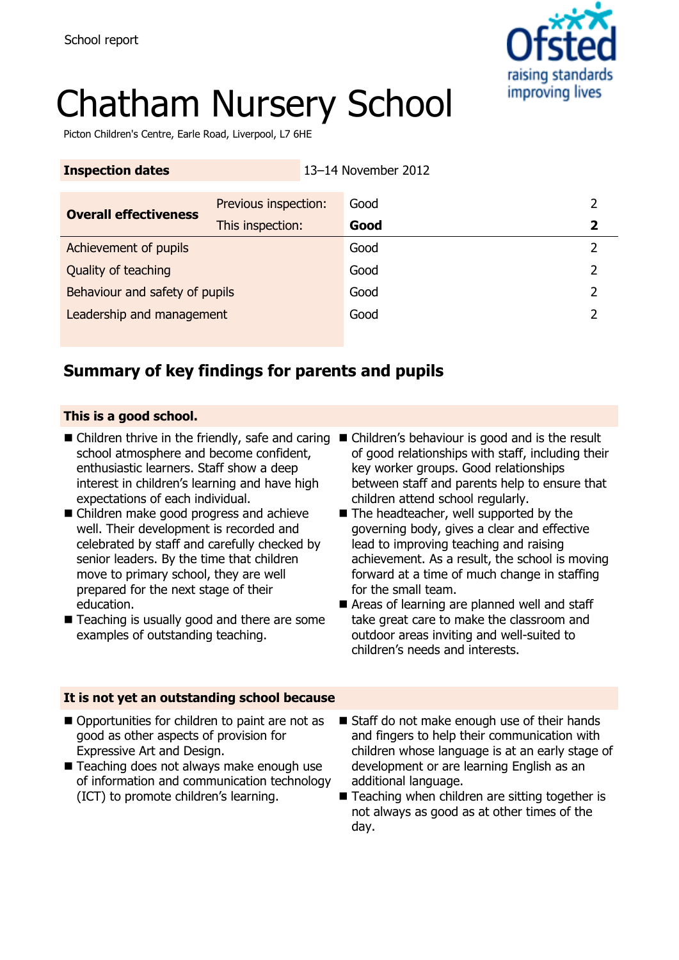

# Chatham Nursery School

Picton Children's Centre, Earle Road, Liverpool, L7 6HE

| <b>Inspection dates</b>        |                      |  | 13-14 November 2012 |   |
|--------------------------------|----------------------|--|---------------------|---|
|                                | Previous inspection: |  | Good                |   |
| <b>Overall effectiveness</b>   | This inspection:     |  | Good                | 2 |
| Achievement of pupils          |                      |  | Good                | 2 |
| Quality of teaching            |                      |  | Good                | 2 |
| Behaviour and safety of pupils |                      |  | Good                | 2 |
| Leadership and management      |                      |  | Good                |   |
|                                |                      |  |                     |   |

### **Summary of key findings for parents and pupils**

### **This is a good school.**

- Children thrive in the friendly, safe and caring Children's behaviour is good and is the result school atmosphere and become confident, enthusiastic learners. Staff show a deep interest in children's learning and have high expectations of each individual.
- Children make good progress and achieve well. Their development is recorded and celebrated by staff and carefully checked by senior leaders. By the time that children move to primary school, they are well prepared for the next stage of their education.
- Teaching is usually good and there are some examples of outstanding teaching.
- of good relationships with staff, including their key worker groups. Good relationships between staff and parents help to ensure that children attend school regularly.
- The headteacher, well supported by the governing body, gives a clear and effective lead to improving teaching and raising achievement. As a result, the school is moving forward at a time of much change in staffing for the small team.
- Areas of learning are planned well and staff take great care to make the classroom and outdoor areas inviting and well-suited to children's needs and interests.

### **It is not yet an outstanding school because**

- Opportunities for children to paint are not as good as other aspects of provision for Expressive Art and Design.
- Teaching does not always make enough use of information and communication technology (ICT) to promote children's learning.
- Staff do not make enough use of their hands and fingers to help their communication with children whose language is at an early stage of development or are learning English as an additional language.
- Teaching when children are sitting together is not always as good as at other times of the day.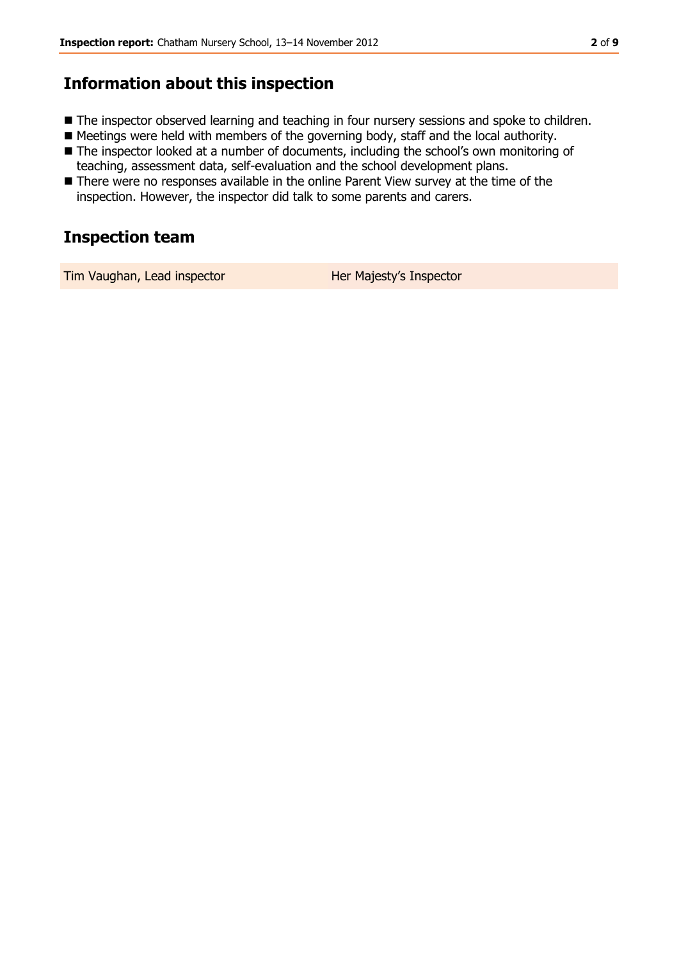### **Information about this inspection**

- The inspector observed learning and teaching in four nursery sessions and spoke to children.
- Meetings were held with members of the governing body, staff and the local authority.
- The inspector looked at a number of documents, including the school's own monitoring of teaching, assessment data, self-evaluation and the school development plans.
- There were no responses available in the online Parent View survey at the time of the inspection. However, the inspector did talk to some parents and carers.

### **Inspection team**

Tim Vaughan, Lead inspector **Her Majesty's Inspector**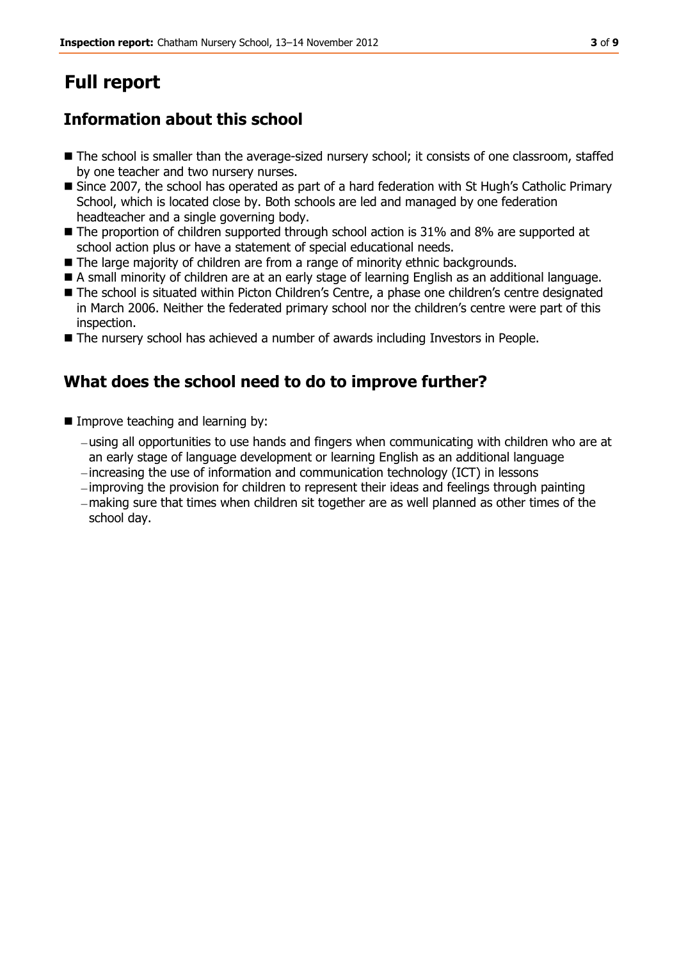## **Full report**

### **Information about this school**

- The school is smaller than the average-sized nursery school; it consists of one classroom, staffed by one teacher and two nursery nurses.
- Since 2007, the school has operated as part of a hard federation with St Hugh's Catholic Primary School, which is located close by. Both schools are led and managed by one federation headteacher and a single governing body.
- The proportion of children supported through school action is 31% and 8% are supported at school action plus or have a statement of special educational needs.
- The large majority of children are from a range of minority ethnic backgrounds.
- A small minority of children are at an early stage of learning English as an additional language.
- The school is situated within Picton Children's Centre, a phase one children's centre designated in March 2006. Neither the federated primary school nor the children's centre were part of this inspection.
- The nursery school has achieved a number of awards including Investors in People.

### **What does the school need to do to improve further?**

- **Improve teaching and learning by:** 
	- using all opportunities to use hands and fingers when communicating with children who are at an early stage of language development or learning English as an additional language
	- increasing the use of information and communication technology (ICT) in lessons
	- $-i$ mproving the provision for children to represent their ideas and feelings through painting
	- making sure that times when children sit together are as well planned as other times of the school day.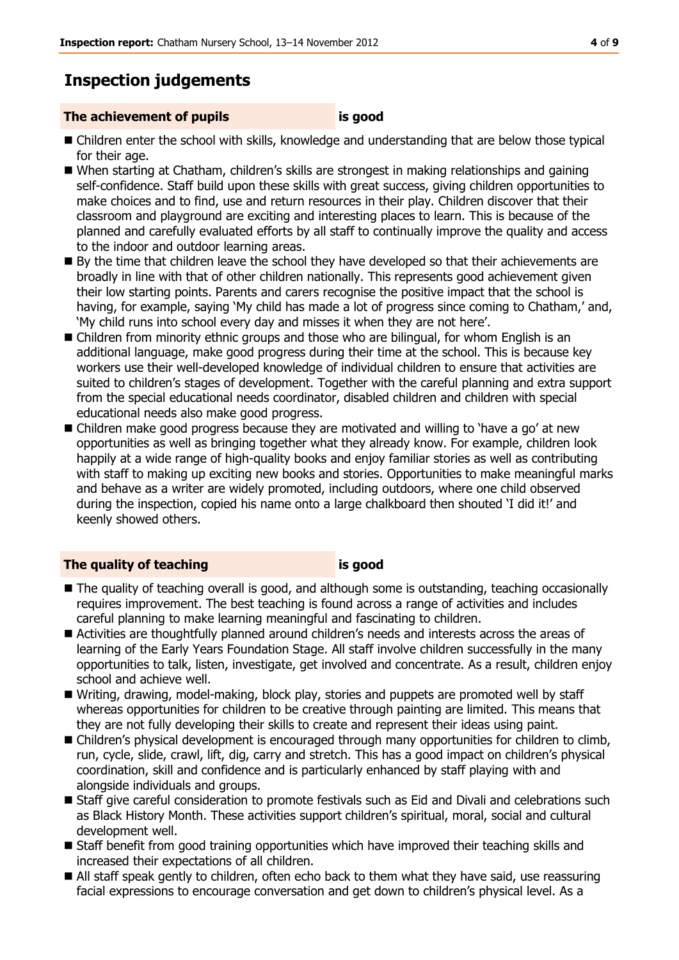### **Inspection judgements**

#### **The achievement of pupils is good**

- Children enter the school with skills, knowledge and understanding that are below those typical for their age.
- When starting at Chatham, children's skills are strongest in making relationships and gaining self-confidence. Staff build upon these skills with great success, giving children opportunities to make choices and to find, use and return resources in their play. Children discover that their classroom and playground are exciting and interesting places to learn. This is because of the planned and carefully evaluated efforts by all staff to continually improve the quality and access to the indoor and outdoor learning areas.
- By the time that children leave the school they have developed so that their achievements are broadly in line with that of other children nationally. This represents good achievement given their low starting points. Parents and carers recognise the positive impact that the school is having, for example, saying 'My child has made a lot of progress since coming to Chatham,' and, 'My child runs into school every day and misses it when they are not here'.
- Children from minority ethnic groups and those who are bilingual, for whom English is an additional language, make good progress during their time at the school. This is because key workers use their well-developed knowledge of individual children to ensure that activities are suited to children's stages of development. Together with the careful planning and extra support from the special educational needs coordinator, disabled children and children with special educational needs also make good progress.
- **E** Children make good progress because they are motivated and willing to 'have a go' at new opportunities as well as bringing together what they already know. For example, children look happily at a wide range of high-quality books and enjoy familiar stories as well as contributing with staff to making up exciting new books and stories. Opportunities to make meaningful marks and behave as a writer are widely promoted, including outdoors, where one child observed during the inspection, copied his name onto a large chalkboard then shouted 'I did it!' and keenly showed others.

### **The quality of teaching is good**

- $\blacksquare$  The quality of teaching overall is good, and although some is outstanding, teaching occasionally requires improvement. The best teaching is found across a range of activities and includes careful planning to make learning meaningful and fascinating to children.
- Activities are thoughtfully planned around children's needs and interests across the areas of learning of the Early Years Foundation Stage. All staff involve children successfully in the many opportunities to talk, listen, investigate, get involved and concentrate. As a result, children enjoy school and achieve well.
- Writing, drawing, model-making, block play, stories and puppets are promoted well by staff whereas opportunities for children to be creative through painting are limited. This means that they are not fully developing their skills to create and represent their ideas using paint.
- Children's physical development is encouraged through many opportunities for children to climb, run, cycle, slide, crawl, lift, dig, carry and stretch. This has a good impact on children's physical coordination, skill and confidence and is particularly enhanced by staff playing with and alongside individuals and groups.
- Staff give careful consideration to promote festivals such as Eid and Divali and celebrations such as Black History Month. These activities support children's spiritual, moral, social and cultural development well.
- Staff benefit from good training opportunities which have improved their teaching skills and increased their expectations of all children.
- All staff speak gently to children, often echo back to them what they have said, use reassuring facial expressions to encourage conversation and get down to children's physical level. As a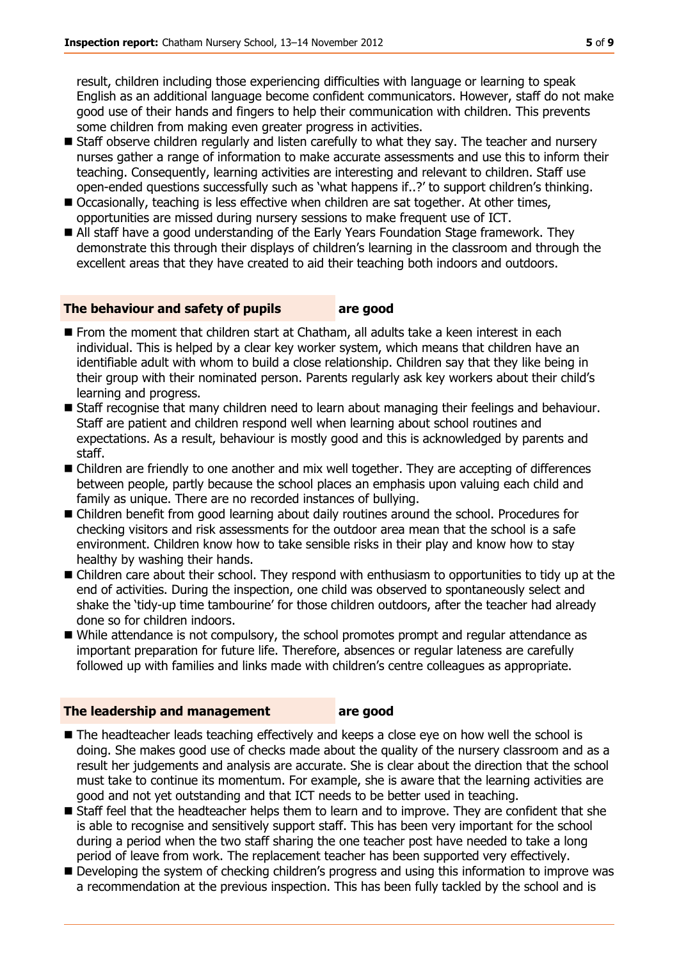result, children including those experiencing difficulties with language or learning to speak English as an additional language become confident communicators. However, staff do not make good use of their hands and fingers to help their communication with children. This prevents some children from making even greater progress in activities.

- Staff observe children regularly and listen carefully to what they say. The teacher and nursery nurses gather a range of information to make accurate assessments and use this to inform their teaching. Consequently, learning activities are interesting and relevant to children. Staff use open-ended questions successfully such as 'what happens if..?' to support children's thinking.
- Occasionally, teaching is less effective when children are sat together. At other times, opportunities are missed during nursery sessions to make frequent use of ICT.
- All staff have a good understanding of the Early Years Foundation Stage framework. They demonstrate this through their displays of children's learning in the classroom and through the excellent areas that they have created to aid their teaching both indoors and outdoors.

#### **The behaviour and safety of pupils are good**

- From the moment that children start at Chatham, all adults take a keen interest in each individual. This is helped by a clear key worker system, which means that children have an identifiable adult with whom to build a close relationship. Children say that they like being in their group with their nominated person. Parents regularly ask key workers about their child's learning and progress.
- **Staff recognise that many children need to learn about managing their feelings and behaviour.** Staff are patient and children respond well when learning about school routines and expectations. As a result, behaviour is mostly good and this is acknowledged by parents and staff.
- Children are friendly to one another and mix well together. They are accepting of differences between people, partly because the school places an emphasis upon valuing each child and family as unique. There are no recorded instances of bullying.
- Children benefit from good learning about daily routines around the school. Procedures for checking visitors and risk assessments for the outdoor area mean that the school is a safe environment. Children know how to take sensible risks in their play and know how to stay healthy by washing their hands.
- Children care about their school. They respond with enthusiasm to opportunities to tidy up at the end of activities. During the inspection, one child was observed to spontaneously select and shake the 'tidy-up time tambourine' for those children outdoors, after the teacher had already done so for children indoors.
- While attendance is not compulsory, the school promotes prompt and regular attendance as important preparation for future life. Therefore, absences or regular lateness are carefully followed up with families and links made with children's centre colleagues as appropriate.

#### **The leadership and management are good**

- $\blacksquare$  The headteacher leads teaching effectively and keeps a close eye on how well the school is doing. She makes good use of checks made about the quality of the nursery classroom and as a result her judgements and analysis are accurate. She is clear about the direction that the school must take to continue its momentum. For example, she is aware that the learning activities are good and not yet outstanding and that ICT needs to be better used in teaching.
- **Staff feel that the headteacher helps them to learn and to improve. They are confident that she** is able to recognise and sensitively support staff. This has been very important for the school during a period when the two staff sharing the one teacher post have needed to take a long period of leave from work. The replacement teacher has been supported very effectively.
- Developing the system of checking children's progress and using this information to improve was a recommendation at the previous inspection. This has been fully tackled by the school and is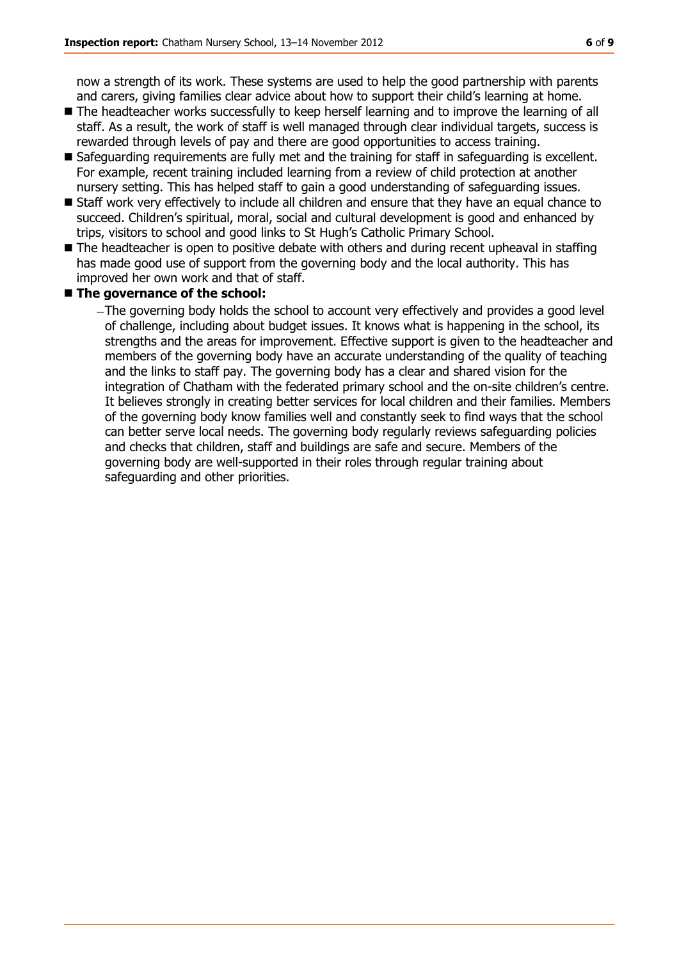now a strength of its work. These systems are used to help the good partnership with parents and carers, giving families clear advice about how to support their child's learning at home.

- The headteacher works successfully to keep herself learning and to improve the learning of all staff. As a result, the work of staff is well managed through clear individual targets, success is rewarded through levels of pay and there are good opportunities to access training.
- Safeguarding requirements are fully met and the training for staff in safeguarding is excellent. For example, recent training included learning from a review of child protection at another nursery setting. This has helped staff to gain a good understanding of safeguarding issues.
- Staff work very effectively to include all children and ensure that they have an equal chance to succeed. Children's spiritual, moral, social and cultural development is good and enhanced by trips, visitors to school and good links to St Hugh's Catholic Primary School.
- $\blacksquare$  The headteacher is open to positive debate with others and during recent upheaval in staffing has made good use of support from the governing body and the local authority. This has improved her own work and that of staff.

### ■ The governance of the school:

The governing body holds the school to account very effectively and provides a good level of challenge, including about budget issues. It knows what is happening in the school, its strengths and the areas for improvement. Effective support is given to the headteacher and members of the governing body have an accurate understanding of the quality of teaching and the links to staff pay. The governing body has a clear and shared vision for the integration of Chatham with the federated primary school and the on-site children's centre. It believes strongly in creating better services for local children and their families. Members of the governing body know families well and constantly seek to find ways that the school can better serve local needs. The governing body regularly reviews safeguarding policies and checks that children, staff and buildings are safe and secure. Members of the governing body are well-supported in their roles through regular training about safeguarding and other priorities.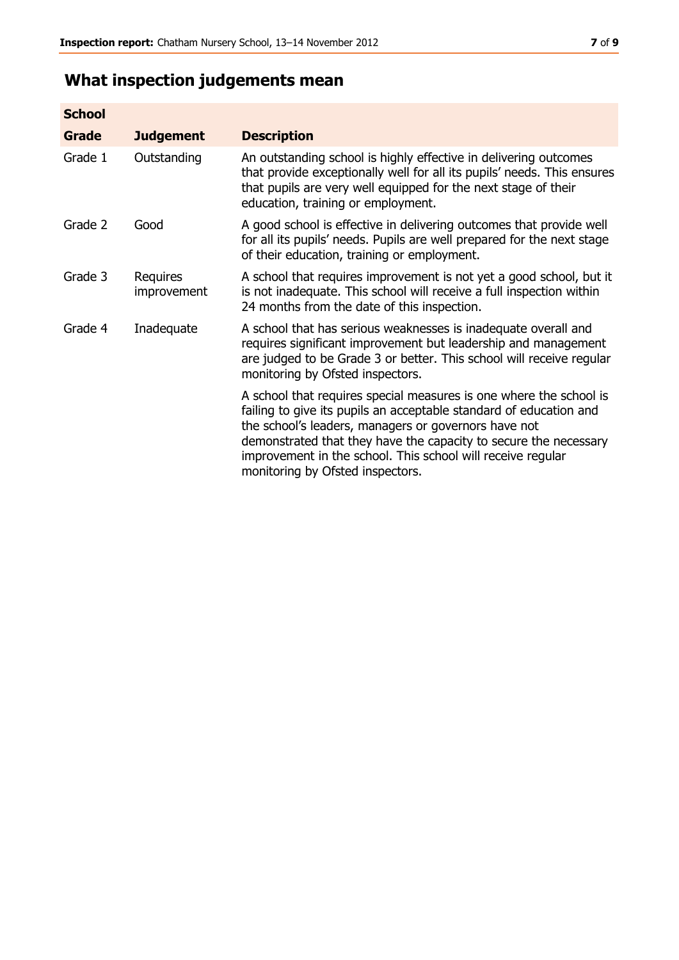## **What inspection judgements mean**

| <b>School</b> |                         |                                                                                                                                                                                                                                                                                                                                                                         |
|---------------|-------------------------|-------------------------------------------------------------------------------------------------------------------------------------------------------------------------------------------------------------------------------------------------------------------------------------------------------------------------------------------------------------------------|
| Grade         | <b>Judgement</b>        | <b>Description</b>                                                                                                                                                                                                                                                                                                                                                      |
| Grade 1       | Outstanding             | An outstanding school is highly effective in delivering outcomes<br>that provide exceptionally well for all its pupils' needs. This ensures<br>that pupils are very well equipped for the next stage of their<br>education, training or employment.                                                                                                                     |
| Grade 2       | Good                    | A good school is effective in delivering outcomes that provide well<br>for all its pupils' needs. Pupils are well prepared for the next stage<br>of their education, training or employment.                                                                                                                                                                            |
| Grade 3       | Requires<br>improvement | A school that requires improvement is not yet a good school, but it<br>is not inadequate. This school will receive a full inspection within<br>24 months from the date of this inspection.                                                                                                                                                                              |
| Grade 4       | Inadequate              | A school that has serious weaknesses is inadequate overall and<br>requires significant improvement but leadership and management<br>are judged to be Grade 3 or better. This school will receive regular<br>monitoring by Ofsted inspectors.                                                                                                                            |
|               |                         | A school that requires special measures is one where the school is<br>failing to give its pupils an acceptable standard of education and<br>the school's leaders, managers or governors have not<br>demonstrated that they have the capacity to secure the necessary<br>improvement in the school. This school will receive regular<br>monitoring by Ofsted inspectors. |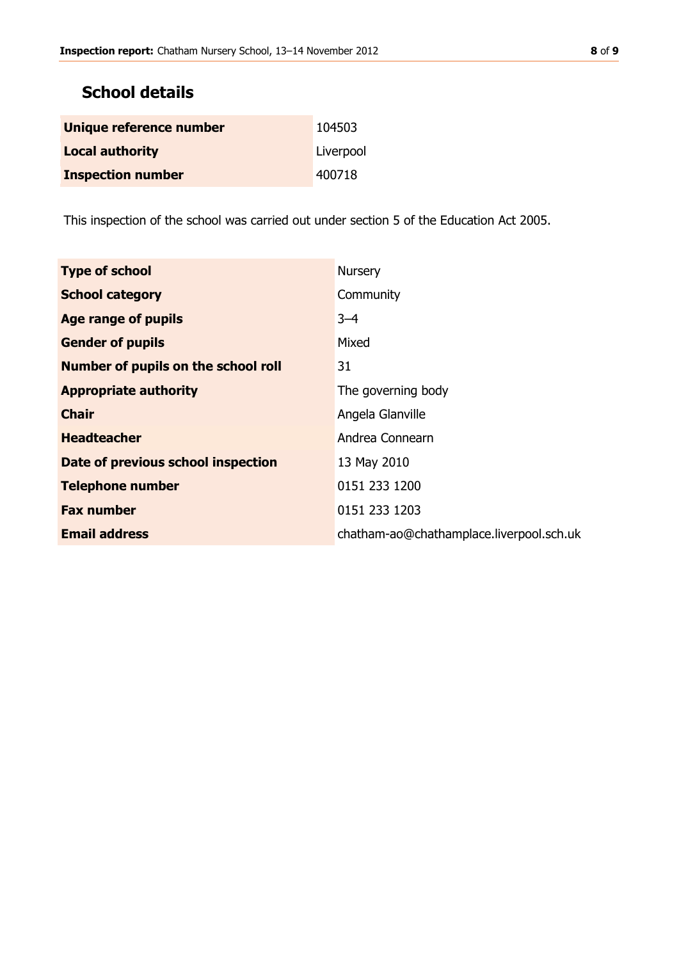### **School details**

| Unique reference number  | 104503    |
|--------------------------|-----------|
| <b>Local authority</b>   | Liverpool |
| <b>Inspection number</b> | 400718    |

This inspection of the school was carried out under section 5 of the Education Act 2005.

| <b>Type of school</b>                      | <b>Nursery</b>                           |
|--------------------------------------------|------------------------------------------|
| <b>School category</b>                     | Community                                |
| Age range of pupils                        | $3 - 4$                                  |
| <b>Gender of pupils</b>                    | Mixed                                    |
| <b>Number of pupils on the school roll</b> | 31                                       |
| <b>Appropriate authority</b>               | The governing body                       |
| <b>Chair</b>                               | Angela Glanville                         |
| <b>Headteacher</b>                         | Andrea Connearn                          |
| Date of previous school inspection         | 13 May 2010                              |
| <b>Telephone number</b>                    | 0151 233 1200                            |
| <b>Fax number</b>                          | 0151 233 1203                            |
| <b>Email address</b>                       | chatham-ao@chathamplace.liverpool.sch.uk |